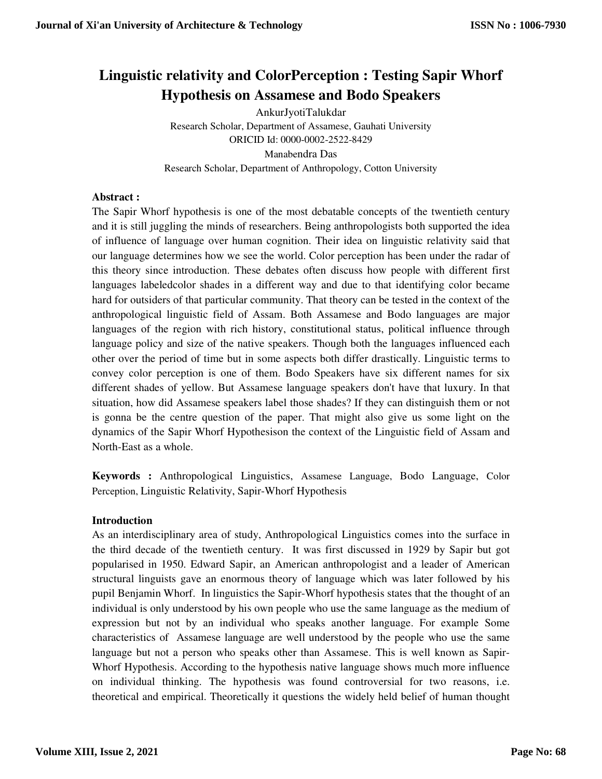# **Linguistic relativity and ColorPerception : Testing Sapir Whorf Hypothesis on Assamese and Bodo Speakers**

AnkurJyotiTalukdar Research Scholar, Department of Assamese, Gauhati University ORICID Id: 0000-0002-2522-8429 Manabendra Das Research Scholar, Department of Anthropology, Cotton University

# **Abstract :**

The Sapir Whorf hypothesis is one of the most debatable concepts of the twentieth century and it is still juggling the minds of researchers. Being anthropologists both supported the idea of influence of language over human cognition. Their idea on linguistic relativity said that our language determines how we see the world. Color perception has been under the radar of this theory since introduction. These debates often discuss how people with different first languages labeledcolor shades in a different way and due to that identifying color became hard for outsiders of that particular community. That theory can be tested in the context of the anthropological linguistic field of Assam. Both Assamese and Bodo languages are major languages of the region with rich history, constitutional status, political influence through language policy and size of the native speakers. Though both the languages influenced each other over the period of time but in some aspects both differ drastically. Linguistic terms to convey color perception is one of them. Bodo Speakers have six different names for six different shades of yellow. But Assamese language speakers don't have that luxury. In that situation, how did Assamese speakers label those shades? If they can distinguish them or not is gonna be the centre question of the paper. That might also give us some light on the dynamics of the Sapir Whorf Hypothesison the context of the Linguistic field of Assam and North-East as a whole.

**Keywords :** Anthropological Linguistics, Assamese Language, Bodo Language, Color Perception, Linguistic Relativity, Sapir-Whorf Hypothesis

# **Introduction**

As an interdisciplinary area of study, Anthropological Linguistics comes into the surface in the third decade of the twentieth century. It was first discussed in 1929 by Sapir but got popularised in 1950. Edward Sapir, an American anthropologist and a leader of American structural linguists gave an enormous theory of language which was later followed by his pupil Benjamin Whorf. In linguistics the Sapir-Whorf hypothesis states that the thought of an individual is only understood by his own people who use the same language as the medium of expression but not by an individual who speaks another language. For example Some characteristics of Assamese language are well understood by the people who use the same language but not a person who speaks other than Assamese. This is well known as Sapir-Whorf Hypothesis. According to the hypothesis native language shows much more influence on individual thinking. The hypothesis was found controversial for two reasons, i.e. theoretical and empirical. Theoretically it questions the widely held belief of human thought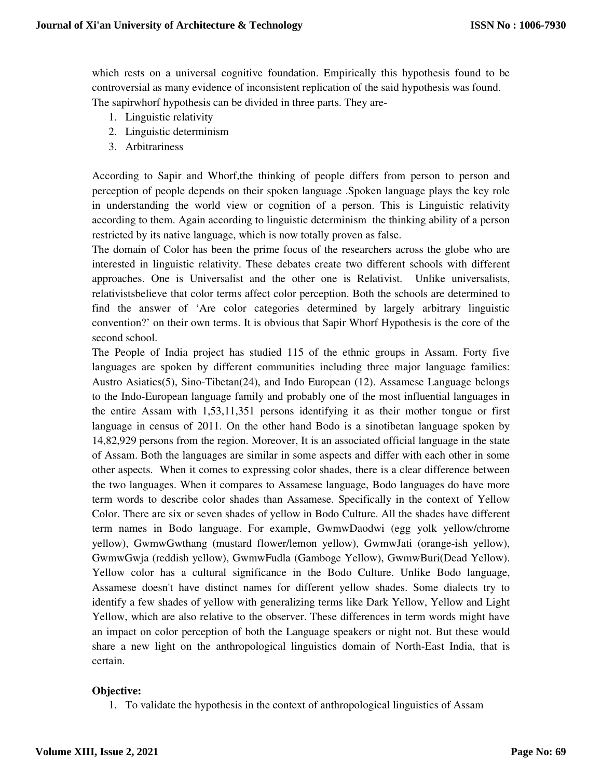which rests on a universal cognitive foundation. Empirically this hypothesis found to be controversial as many evidence of inconsistent replication of the said hypothesis was found. The sapirwhorf hypothesis can be divided in three parts. They are-

- 1. Linguistic relativity
- 2. Linguistic determinism
- 3. Arbitrariness

According to Sapir and Whorf,the thinking of people differs from person to person and perception of people depends on their spoken language .Spoken language plays the key role in understanding the world view or cognition of a person. This is Linguistic relativity according to them. Again according to linguistic determinism the thinking ability of a person restricted by its native language, which is now totally proven as false.

The domain of Color has been the prime focus of the researchers across the globe who are interested in linguistic relativity. These debates create two different schools with different approaches. One is Universalist and the other one is Relativist. Unlike universalists, relativistsbelieve that color terms affect color perception. Both the schools are determined to find the answer of 'Are color categories determined by largely arbitrary linguistic convention?' on their own terms. It is obvious that Sapir Whorf Hypothesis is the core of the second school.

The People of India project has studied 115 of the ethnic groups in Assam. Forty five languages are spoken by different communities including three major language families: Austro Asiatics(5), Sino-Tibetan(24), and Indo European (12). Assamese Language belongs to the Indo-European language family and probably one of the most influential languages in the entire Assam with 1,53,11,351 persons identifying it as their mother tongue or first language in census of 2011. On the other hand Bodo is a sinotibetan language spoken by 14,82,929 persons from the region. Moreover, It is an associated official language in the state of Assam. Both the languages are similar in some aspects and differ with each other in some other aspects. When it comes to expressing color shades, there is a clear difference between the two languages. When it compares to Assamese language, Bodo languages do have more term words to describe color shades than Assamese. Specifically in the context of Yellow Color. There are six or seven shades of yellow in Bodo Culture. All the shades have different term names in Bodo language. For example, GwmwDaodwi (egg yolk yellow/chrome yellow), GwmwGwthang (mustard flower/lemon yellow), GwmwJati (orange-ish yellow), GwmwGwja (reddish yellow), GwmwFudla (Gamboge Yellow), GwmwBuri(Dead Yellow). Yellow color has a cultural significance in the Bodo Culture. Unlike Bodo language, Assamese doesn't have distinct names for different yellow shades. Some dialects try to identify a few shades of yellow with generalizing terms like Dark Yellow, Yellow and Light Yellow, which are also relative to the observer. These differences in term words might have an impact on color perception of both the Language speakers or night not. But these would share a new light on the anthropological linguistics domain of North-East India, that is certain.

#### **Objective:**

1. To validate the hypothesis in the context of anthropological linguistics of Assam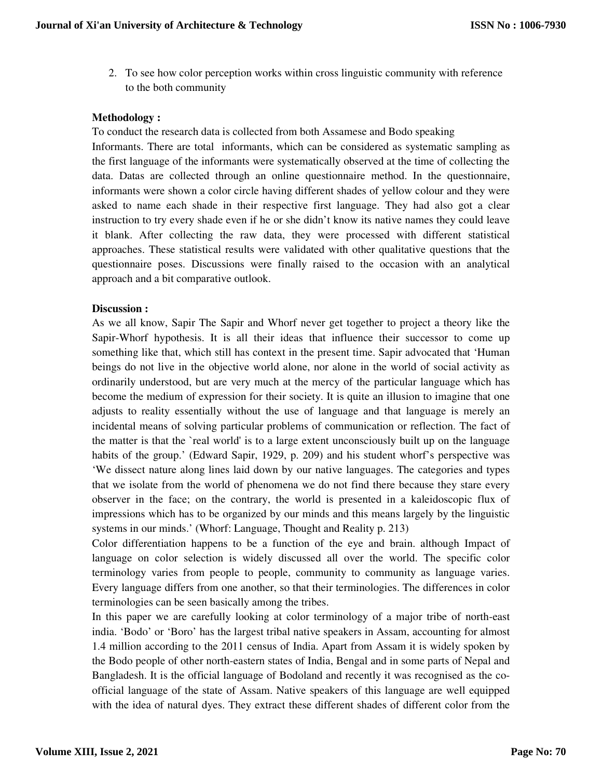2. To see how color perception works within cross linguistic community with reference to the both community

## **Methodology :**

To conduct the research data is collected from both Assamese and Bodo speaking Informants. There are total informants, which can be considered as systematic sampling as the first language of the informants were systematically observed at the time of collecting the data. Datas are collected through an online questionnaire method. In the questionnaire, informants were shown a color circle having different shades of yellow colour and they were asked to name each shade in their respective first language. They had also got a clear instruction to try every shade even if he or she didn't know its native names they could leave it blank. After collecting the raw data, they were processed with different statistical approaches. These statistical results were validated with other qualitative questions that the questionnaire poses. Discussions were finally raised to the occasion with an analytical approach and a bit comparative outlook.

## **Discussion :**

As we all know, Sapir The Sapir and Whorf never get together to project a theory like the Sapir-Whorf hypothesis. It is all their ideas that influence their successor to come up something like that, which still has context in the present time. Sapir advocated that 'Human beings do not live in the objective world alone, nor alone in the world of social activity as ordinarily understood, but are very much at the mercy of the particular language which has become the medium of expression for their society. It is quite an illusion to imagine that one adjusts to reality essentially without the use of language and that language is merely an incidental means of solving particular problems of communication or reflection. The fact of the matter is that the `real world' is to a large extent unconsciously built up on the language habits of the group.' (Edward Sapir, 1929, p. 209) and his student whorf's perspective was 'We dissect nature along lines laid down by our native languages. The categories and types that we isolate from the world of phenomena we do not find there because they stare every observer in the face; on the contrary, the world is presented in a kaleidoscopic flux of impressions which has to be organized by our minds and this means largely by the linguistic systems in our minds.' (Whorf: Language, Thought and Reality p. 213)

Color differentiation happens to be a function of the eye and brain. although Impact of language on color selection is widely discussed all over the world. The specific color terminology varies from people to people, community to community as language varies. Every language differs from one another, so that their terminologies. The differences in color terminologies can be seen basically among the tribes.

In this paper we are carefully looking at color terminology of a major tribe of north-east india. 'Bodo' or 'Boro' has the largest tribal native speakers in Assam, accounting for almost 1.4 million according to the 2011 census of India. Apart from Assam it is widely spoken by the Bodo people of other north-eastern states of India, Bengal and in some parts of Nepal and Bangladesh. It is the official language of Bodoland and recently it was recognised as the coofficial language of the state of Assam. Native speakers of this language are well equipped with the idea of natural dyes. They extract these different shades of different color from the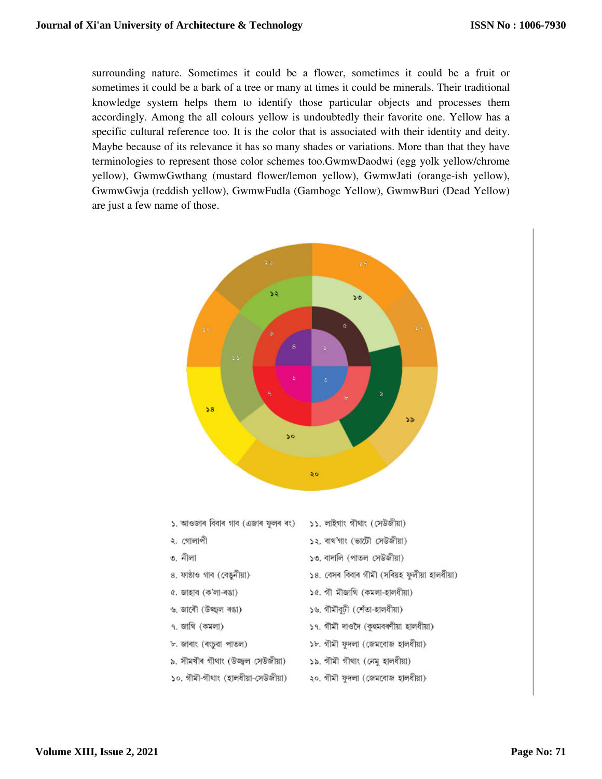surrounding nature. Sometimes it could be a flower, sometimes it could be a fruit or sometimes it could be a bark of a tree or many at times it could be minerals. Their traditional knowledge system helps them to identify those particular objects and processes them accordingly. Among the all colours yellow is undoubtedly their favorite one. Yellow has a specific cultural reference too. It is the color that is associated with their identity and deity. Maybe because of its relevance it has so many shades or variations. More than that they have terminologies to represent those color schemes too.GwmwDaodwi (egg yolk yellow/chrome yellow), GwmwGwthang (mustard flower/lemon yellow), GwmwJati (orange-ish yellow), GwmwGwja (reddish yellow), GwmwFudla (Gamboge Yellow), GwmwBuri (Dead Yellow) are just a few name of those.



- ১. আওজাৰ বিবাৰ গাব (এজাৰ ফুলৰ ৰং) ১১. লাইগাং গীথাং (সেউজীয়া) ২. গোলাপী ১২. বাথ'গাং (ভাটৌ সেউজীয়া) ৩. নীলা ১৩. বাদালি (পাতল সেউজীয়া) ১৪. বেসৰ বিবাৰ গীমী (সৰিয়হ ফুলীয়া হালধীয়া) ৪. ফাষ্ঠাও গাব (বেঙুনীয়া) ১৫. গী মীজাথি (কমলা-হালধীয়া) ৫. জাহাব (ক'লা-ৰঙা) ১৬. গীমীবুঢ়ী (শেঁতা-হালধীয়া) ৬. জাৰৌ (উজ্জ্বল ৰঙা) ৭. জাথি (কমলা) ১৭. গীমী দাওদৈ (কুহুমবৰণীয়া হালধীয়া) ৮. জাৰাং (ৰংচুৱা পাতল) ১৮. গীমী ফুদলা (জেমবোজ হালধীয়া) ১৯. গীমী গীথাং (নেমু হালধীয়া) ৯. সীমখীৰ গীথাং (উজ্জ্বল সেউজীয়া)
- ১০. গীমী-গীথাং (হালধীয়া-সেউজীয়া)
- ২০. গীমী ফুদলা (জেমবোজ হালধীয়া)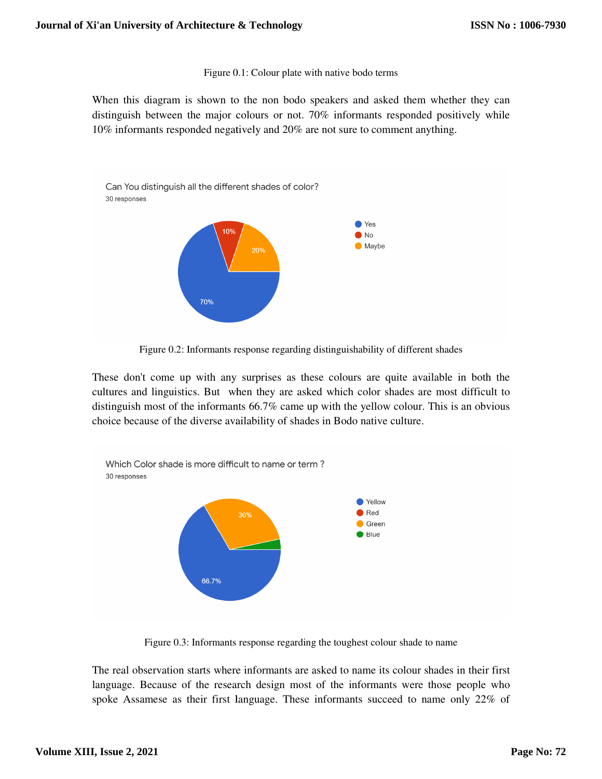Figure 0.1: Colour plate with native bodo terms

When this diagram is shown to the non bodo speakers and asked them whether they can distinguish between the major colours or not. 70% informants responded positively while 10% informants responded negatively and 20% are not sure to comment anything.



Figure 0.2: Informants response regarding distinguishability of different shades

These don't come up with any surprises as these colours are quite available in both the cultures and linguistics. But when they are asked which color shades are most difficult to distinguish most of the informants 66.7% came up with the yellow colour. This is an obvious distinguish most of the informants 66.7% came up with the yellow colour.<br>choice because of the diverse availability of shades in Bodo native culture.



Figure 0.3: Informants response regarding the toughest colour shade to name

The real observation starts where informants are asked to name its colour shades in their first language. Because of the research design most of the informants were those people who spoke Assamese as their first language. These informants succeed to name only 22% of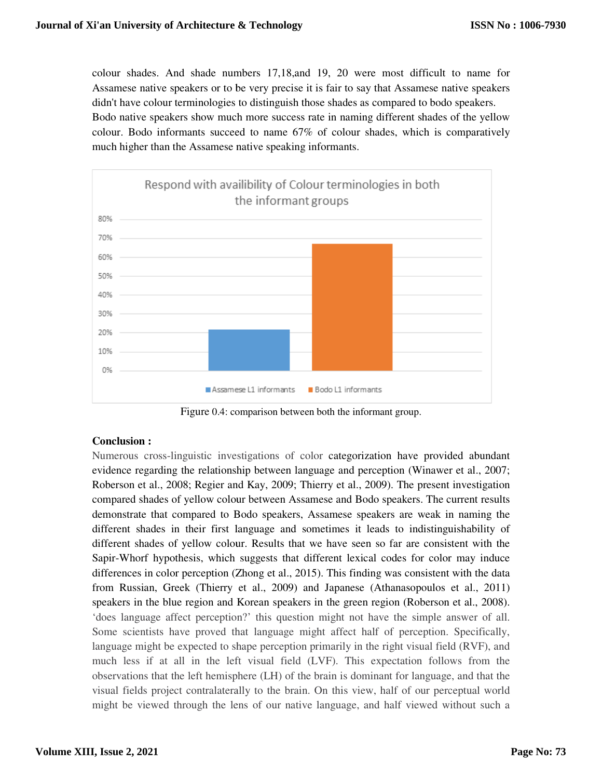colour shades. And shade numbers 17,18,and 19, 20 were most difficult to name for Assamese native speakers or to be very precise it is fair to say that Assamese native speakers didn't have colour terminologies to distinguish those shades as compared to bodo speakers. Bodo native speakers show much more success rate in naming different shades of the colour. Bodo informants succeed to name 67% of colour shades, which is comparatively much higher than the Assamese native speaking informants.



Figure 0.4: comparison between both the informant group.

# **Conclusion :**

Numerous cross-linguistic investigations of color categorization have provided abundant evidence regarding the relationship between language and perception (Winawer et al., 2007; Roberson et al., 2008; Regier and Kay, 2009; Thierry et al., 2009). The present investigation compared shades of yellow colour between Assamese and Bodo speakers. The current results demonstrate that compared to Bodo speakers, Assamese speakers are weak in naming the different shades in their first language and sometimes it leads to indistinguishability of different shades of yellow colour. Results that we have seen so far are consistent with the Sapir-Whorf hypothesis, which suggests that different lexical codes for color may induce compared shades of yellow colour between Assamese and Bodo speakers. The current results demonstrate that compared to Bodo speakers, Assamese speakers are weak in naming the different shades in their first language and som from Russian, Greek (Thierry et al., 2009) and Japanese (Athanasopoulos et al., 2011 speakers in the blue region and Korean speakers in the green region (Roberson et al., 2008). 'does language affect perception?' this question might not have the simple answer of all. Some scientists have proved that language might affect half of perception. Specifically, language might be expected to shape perception primarily in the right visual field (RVF), and much less if at all in the left visual field (LVF). This expectation follows from the observations that the left hemisphere (LH) of the brain is dominant for language, and that visual fields project contralaterally to the brain. On this view, half of our perceptual world might be viewed through the lens of our native language, and half viewed without such a colour shades as a dominate 17,18 and 19, 200 were most diffred to anne for the perception less from the perception less from the perception less from the perception less from the perception less from the perception less f 'does language affect perception?' this question might not have the simple answer of all.<br>Some scientists have proved that language might affect half of perception. Specifically, language might be expected to shape percept **Journal of Xi'an University of Architecture & Technology**<br>
colour shades. And shade numbers 17,18,and<br>
Assamese native speakers or to be very precise it<br>
didn't have colour terminologies to distinguish the<br>
Deodo native s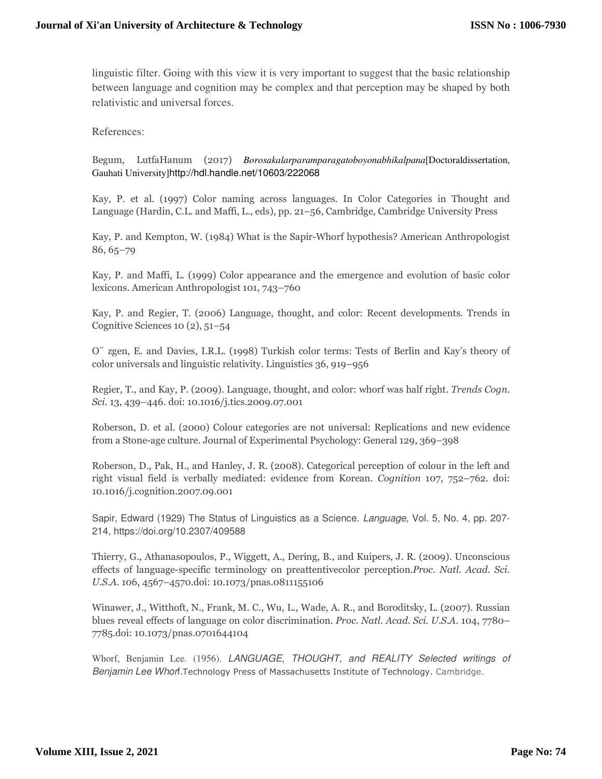linguistic filter. Going with this view it is very important to suggest that the basic relationship between language and cognition may be complex and that perception may be shaped by both relativistic and universal forces.

References:

Begum, LutfaHanum (2017) *Borosakalarparamparagatoboyonabhikalpana*[Doctoraldissertation, Gauhati University]http://hdl.handle.net/10603/222068

Kay, P. et al. (1997) Color naming across languages. In Color Categories in Thought and Language (Hardin, C.L. and Maffi, L., eds), pp. 21–56, Cambridge, Cambridge University Press

Kay, P. and Kempton, W. (1984) What is the Sapir-Whorf hypothesis? American Anthropologist 86, 65–79

Kay, P. and Maffi, L. (1999) Color appearance and the emergence and evolution of basic color lexicons. American Anthropologist 101, 743–760

Kay, P. and Regier, T. (2006) Language, thought, and color: Recent developments. Trends in Cognitive Sciences 10 (2), 51–54

O¨ zgen, E. and Davies, I.R.L. (1998) Turkish color terms: Tests of Berlin and Kay's theory of color universals and linguistic relativity. Linguistics 36, 919–956

Regier, T., and Kay, P. (2009). Language, thought, and color: whorf was half right. *Trends Cogn. Sci.* 13, 439–446. doi: 10.1016/j.tics.2009.07.001

Roberson, D. et al. (2000) Colour categories are not universal: Replications and new evidence from a Stone-age culture. Journal of Experimental Psychology: General 129, 369–398

Roberson, D., Pak, H., and Hanley, J. R. (2008). Categorical perception of colour in the left and right visual field is verbally mediated: evidence from Korean. *Cognition* 107, 752–762. doi: 10.1016/j.cognition.2007.09.001

Sapir, Edward (1929) The Status of Linguistics as a Science. Language, Vol. 5, No. 4, pp. 207-214, https://doi.org/10.2307/409588

Thierry, G., Athanasopoulos, P., Wiggett, A., Dering, B., and Kuipers, J. R. (2009). Unconscious effects of language-specific terminology on preattentivecolor perception.*Proc. Natl. Acad. Sci. U.S.A.* 106, 4567–4570.doi: 10.1073/pnas.0811155106

Winawer, J., Witthoft, N., Frank, M. C., Wu, L., Wade, A. R., and Boroditsky, L. (2007). Russian blues reveal effects of language on color discrimination. *Proc. Natl. Acad. Sci. U.S.A.* 104, 7780– 7785.doi: 10.1073/pnas.0701644104

Whorf, Benjamin Lee. (1956). LANGUAGE, THOUGHT, and REALITY Selected writings of Benjamin Lee Whorf. Technology Press of Massachusetts Institute of Technology. Cambridge.